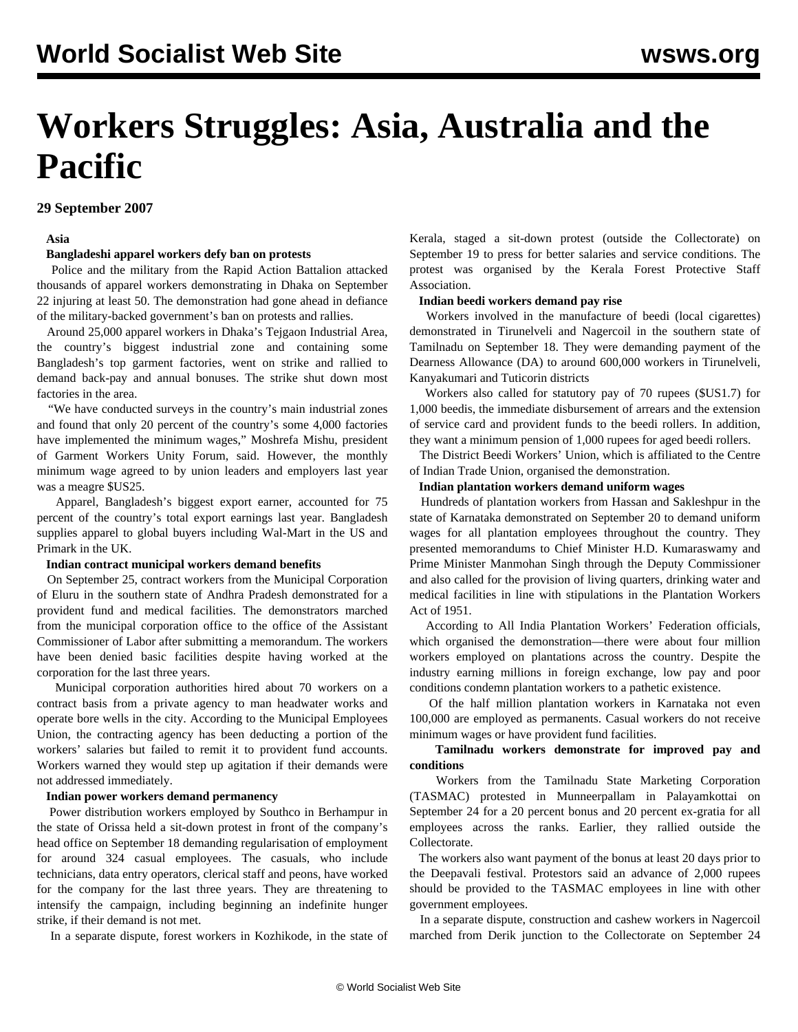# **Workers Struggles: Asia, Australia and the Pacific**

## **29 September 2007**

#### **Asia**

#### **Bangladeshi apparel workers defy ban on protests**

 Police and the military from the Rapid Action Battalion attacked thousands of apparel workers demonstrating in Dhaka on September 22 injuring at least 50. The demonstration had gone ahead in defiance of the military-backed government's ban on protests and rallies.

 Around 25,000 apparel workers in Dhaka's Tejgaon Industrial Area, the country's biggest industrial zone and containing some Bangladesh's top garment factories, went on strike and rallied to demand back-pay and annual bonuses. The strike shut down most factories in the area.

 "We have conducted surveys in the country's main industrial zones and found that only 20 percent of the country's some 4,000 factories have implemented the minimum wages," Moshrefa Mishu, president of Garment Workers Unity Forum, said. However, the monthly minimum wage agreed to by union leaders and employers last year was a meagre \$US25.

 Apparel, Bangladesh's biggest export earner, accounted for 75 percent of the country's total export earnings last year. Bangladesh supplies apparel to global buyers including Wal-Mart in the US and Primark in the UK.

#### **Indian contract municipal workers demand benefits**

 On September 25, contract workers from the Municipal Corporation of Eluru in the southern state of Andhra Pradesh demonstrated for a provident fund and medical facilities. The demonstrators marched from the municipal corporation office to the office of the Assistant Commissioner of Labor after submitting a memorandum. The workers have been denied basic facilities despite having worked at the corporation for the last three years.

 Municipal corporation authorities hired about 70 workers on a contract basis from a private agency to man headwater works and operate bore wells in the city. According to the Municipal Employees Union, the contracting agency has been deducting a portion of the workers' salaries but failed to remit it to provident fund accounts. Workers warned they would step up agitation if their demands were not addressed immediately.

#### **Indian power workers demand permanency**

 Power distribution workers employed by Southco in Berhampur in the state of Orissa held a sit-down protest in front of the company's head office on September 18 demanding regularisation of employment for around 324 casual employees. The casuals, who include technicians, data entry operators, clerical staff and peons, have worked for the company for the last three years. They are threatening to intensify the campaign, including beginning an indefinite hunger strike, if their demand is not met.

In a separate dispute, forest workers in Kozhikode, in the state of

Kerala, staged a sit-down protest (outside the Collectorate) on September 19 to press for better salaries and service conditions. The protest was organised by the Kerala Forest Protective Staff Association.

#### **Indian beedi workers demand pay rise**

 Workers involved in the manufacture of beedi (local cigarettes) demonstrated in Tirunelveli and Nagercoil in the southern state of Tamilnadu on September 18. They were demanding payment of the Dearness Allowance (DA) to around 600,000 workers in Tirunelveli, Kanyakumari and Tuticorin districts

 Workers also called for statutory pay of 70 rupees (\$US1.7) for 1,000 beedis, the immediate disbursement of arrears and the extension of service card and provident funds to the beedi rollers. In addition, they want a minimum pension of 1,000 rupees for aged beedi rollers.

 The District Beedi Workers' Union, which is affiliated to the Centre of Indian Trade Union, organised the demonstration.

### **Indian plantation workers demand uniform wages**

 Hundreds of plantation workers from Hassan and Sakleshpur in the state of Karnataka demonstrated on September 20 to demand uniform wages for all plantation employees throughout the country. They presented memorandums to Chief Minister H.D. Kumaraswamy and Prime Minister Manmohan Singh through the Deputy Commissioner and also called for the provision of living quarters, drinking water and medical facilities in line with stipulations in the Plantation Workers Act of 1951.

 According to All India Plantation Workers' Federation officials, which organised the demonstration—there were about four million workers employed on plantations across the country. Despite the industry earning millions in foreign exchange, low pay and poor conditions condemn plantation workers to a pathetic existence.

 Of the half million plantation workers in Karnataka not even 100,000 are employed as permanents. Casual workers do not receive minimum wages or have provident fund facilities.

#### **Tamilnadu workers demonstrate for improved pay and conditions**

 Workers from the Tamilnadu State Marketing Corporation (TASMAC) protested in Munneerpallam in Palayamkottai on September 24 for a 20 percent bonus and 20 percent ex-gratia for all employees across the ranks. Earlier, they rallied outside the Collectorate.

 The workers also want payment of the bonus at least 20 days prior to the Deepavali festival. Protestors said an advance of 2,000 rupees should be provided to the TASMAC employees in line with other government employees.

 In a separate dispute, construction and cashew workers in Nagercoil marched from Derik junction to the Collectorate on September 24